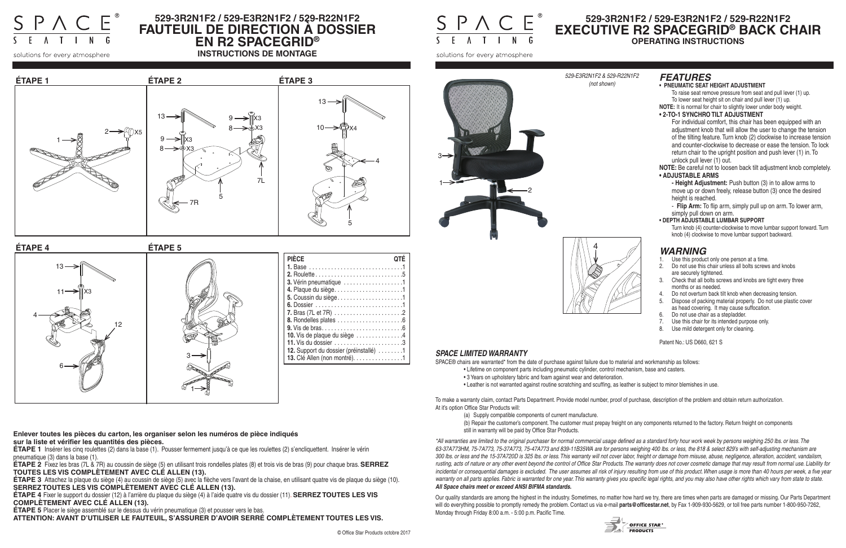

# **529-3R2N1F2 / 529-E3R2N1F2 / 529-R22N1F2 FAUTEUIL DE DIRECTION À DOSSIER EN R2 SPACEGRID®**

**INSTRUCTIONS DE MONTAGE**

 $\underbrace{\mathsf{S} \mathsf{P} \mathsf{\Lambda} \mathsf{C} \mathsf{E}}_{\mathsf{S} \mathsf{E} \mathsf{A} \mathsf{F} \mathsf{I} \mathsf{F} \mathsf{A} \mathsf{F}}^{\mathsf{B}}$ 

solutions for every atmosphere



## *FEATURES*

#### **• PNEUMATIC SEAT HEIGHT ADJUSTMENT**

To raise seat remove pressure from seat and pull lever (1) up. To lower seat height sit on chair and pull lever (1) up.

**NOTE:** It is normal for chair to slightly lower under body weight.

#### **• 2-TO-1 SYNCHRO TILT ADJUSTMENT**

For individual comfort, this chair has been equipped with an adjustment knob that will allow the user to change the tension of the tilting feature. Turn knob (2) clockwise to increase tension and counter-clockwise to decrease or ease the tension. To lock return chair to the upright position and push lever (1) in. To unlock pull lever (1) out.

**NOTE:** Be careful not to loosen back tilt adjustment knob completely. **• ADJUSTABLE ARMS**

**- Height Adjustment:** Push button (3) in to allow arms to move up or down freely, release button (3) once the desired height is reached.

- **Flip Arm:** To flip arm, simply pull up on arm. To lower arm, simply pull down on arm.

#### **• DEPTH ADJUSTABLE LUMBAR SUPPORT**

Turn knob (4) counter-clockwise to move lumbar support forward. Turn knob (4) clockwise to move lumbar support backward.

# **529-3R2N1F2 / 529-E3R2N1F2 / 529-R22N1F2 EXECUTIVE R2 SPACEGRID® BACK CHAIR OPERATING INSTRUCTIONS**

## *SPACE LIMITED WARRANTY*

SPACE® chairs are warranted\* from the date of purchase against failure due to material and workmanship as follows:

- Lifetime on component parts including pneumatic cylinder, control mechanism, base and casters.
- 3 Years on upholstery fabric and foam against wear and deterioration.
- Leather is not warranted against routine scratching and scuffing, as leather is subject to minor blemishes in use.

To make a warranty claim, contact Parts Department. Provide model number, proof of purchase, description of the problem and obtain return authorization. At it's option Office Star Products will:

- (a) Supply compatible components of current manufacture.
- still in warranty will be paid by Office Star Products.

(b) Repair the customer's component. The customer must prepay freight on any components returned to the factory. Return freight on components



- Use this product only one person at a time.
- 2. Do not use this chair unless all bolts screws and knobs are securely tightened.
- 3. Check that all bolts screws and knobs are tight every three months or as needed.
- Do not overturn back tilt knob when decreasing tension.
- 5. Dispose of packing material properly. Do not use plastic cover as head covering. It may cause suffocation.
- 6. Do not use chair as a stepladder.
- 7. Use this chair for its intended purpose only.
- 8. Use mild detergent only for cleaning.

*\*All warranties are limited to the original purchaser for normal commercial usage defined as a standard forty hour work week by persons weighing 250 lbs. or less. The 63-37A773HM, 75-7A773, 75-37A773, 75-47A773 and 839-11B35WA are for persons weighing 400 lbs. or less, the 818 & select 829's with self-adjusting mechanism are 300 lbs. or less and the 15-37A720D is 325 lbs. or less. This warranty will not cover labor, freight or damage from misuse, abuse, negligence, alteration, accident, vandalism, rusting, acts of nature or any other event beyond the control of Office Star Products. The warranty does not cover cosmetic damage that may result from normal use. Liability for*  incidental or consequential damages is excluded. The user assumes all risk of injury resulting from use of this product. When usage is more than 40 hours per week, a five year *warranty on all parts applies. Fabric is warranted for one year. This warranty gives you specific legal rights, and you may also have other rights which vary from state to state. All Space chairs meet or exceed ANSI BIFMA standards.* 

Our quality standards are among the highest in the industry. Sometimes, no matter how hard we try, there are times when parts are damaged or missing. Our Parts Department will do everything possible to promptly remedy the problem. Contact us via e-mail **parts@officestar.net**, by Fax 1-909-930-5629, or toll free parts number 1-800-950-7262, Monday through Friday 8:00 a.m. - 5:00 p.m. Pacific Time.



# *WARNING*

Patent No.: US D660, 621 S

#### *529-E3R2N1F2 & 529-R22N1F2*

*(not shown)*

solutions for every atmosphere



**Enlever toutes les pièces du carton, les organiser selon les numéros de pièce indiqués sur la liste et vérifier les quantités des pièces.**





**ÉTAPE 1** Insérer les cinq roulettes (2) dans la base (1). Pousser fermement jusqu'à ce que les roulettes (2) s'encliquettent. Insérer le vérin pneumatique (3) dans la base (1).

**ÉTAPE 2** Fixez les bras (7L & 7R) au coussin de siège (5) en utilisant trois rondelles plates (8) et trois vis de bras (9) pour chaque bras. **SERREZ TOUTES LES VIS COMPLÈTEMENT AVEC CLÉ ALLEN (13).**

**ÉTAPE 3** Attachez la plaque du siège (4) au coussin de siège (5) avec la flèche vers l'avant de la chaise, en utilisant quatre vis de plaque du siège (10). **SERREZ TOUTES LES VIS COMPLÈTEMENT AVEC CLÉ ALLEN (13).**

**ÉTAPE 4** Fixer le support du dossier (12) à l'arrière du plaque du siège (4) à l'aide quatre vis du dossier (11). **SERREZ TOUTES LES VIS COMPLÈTEMENT AVEC CLÉ ALLEN (13).**

**ÉTAPE 5** Placer le siège assemblé sur le dessus du vérin pneumatique (3) et pousser vers le bas.

**ATTENTION: AVANT D'UTILISER LE FAUTEUIL, S'ASSURER D'AVOIR SERRÉ COMPLÈTEMENT TOUTES LES VIS.**